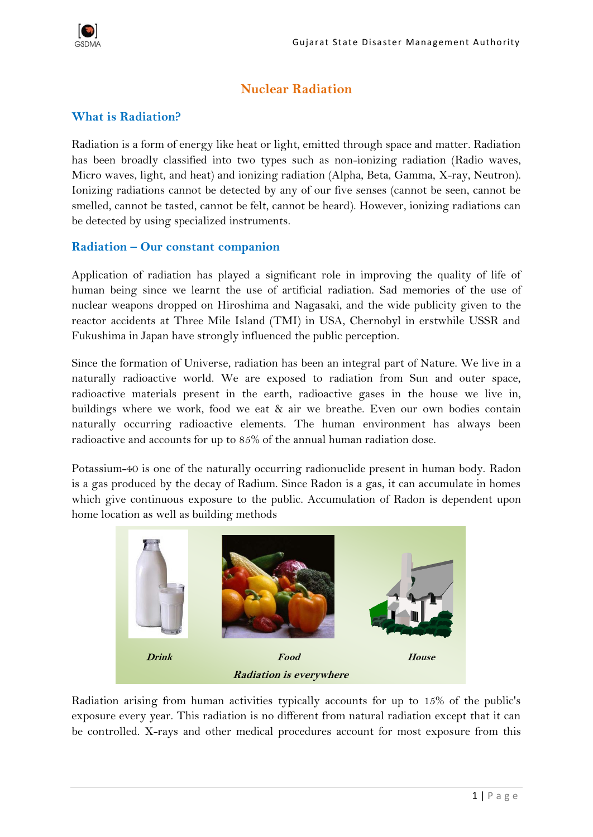

# **Nuclear Radiation**

## **What is Radiation?**

Radiation is a form of energy like heat or light, emitted through space and matter. Radiation has been broadly classified into two types such as non-ionizing radiation (Radio waves, Micro waves, light, and heat) and ionizing radiation (Alpha, Beta, Gamma, X-ray, Neutron). Ionizing radiations cannot be detected by any of our five senses (cannot be seen, cannot be smelled, cannot be tasted, cannot be felt, cannot be heard). However, ionizing radiations can be detected by using specialized instruments.

## **Radiation – Our constant companion**

Application of radiation has played a significant role in improving the quality of life of human being since we learnt the use of artificial radiation. Sad memories of the use of nuclear weapons dropped on Hiroshima and Nagasaki, and the wide publicity given to the reactor accidents at Three Mile Island (TMI) in USA, Chernobyl in erstwhile USSR and Fukushima in Japan have strongly influenced the public perception.

Since the formation of Universe, radiation has been an integral part of Nature. We live in a naturally radioactive world. We are exposed to radiation from Sun and outer space, radioactive materials present in the earth, radioactive gases in the house we live in, buildings where we work, food we eat & air we breathe. Even our own bodies contain naturally occurring radioactive elements. The human environment has always been radioactive and accounts for up to 85% of the annual human radiation dose.

Potassium-40 is one of the naturally occurring radionuclide present in human body. Radon is a gas produced by the decay of Radium. Since Radon is a gas, it can accumulate in homes which give continuous exposure to the public. Accumulation of Radon is dependent upon home location as well as building methods



Radiation arising from human activities typically accounts for up to 15% of the public's exposure every year. This radiation is no different from natural radiation except that it can be controlled. X-rays and other medical procedures account for most exposure from this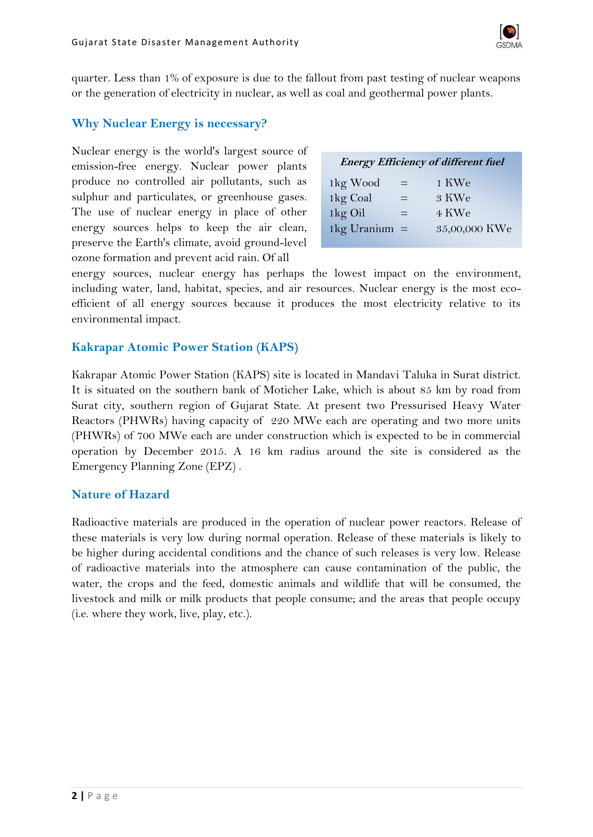

quarter. Less than 1% of exposure is due to the fallout from past testing of nuclear weapons or the generation of electricity in nuclear, as well as coal and geothermal power plants.

#### **Why Nuclear Energy is necessary?**

Nuclear energy is the world's largest source of emission-free energy. Nuclear power plants produce no controlled air pollutants, such as sulphur and particulates, or greenhouse gases. The use of nuclear energy in place of other energy sources helps to keep the air clean, preserve the Earth's climate, avoid ground-level ozone formation and prevent acid rain. Of all

| <b>Energy Efficiency of different fuel</b> |     |               |
|--------------------------------------------|-----|---------------|
| 1kg Wood                                   | $=$ | 1 KWe         |
| 1kg Coal                                   | $=$ | 3 KWe         |
| 1kg Oil                                    | ═   | 4 KWe         |
| 1 $kg$ Uranium =                           |     | 35,00,000 KWe |
|                                            |     |               |

energy sources, nuclear energy has perhaps the lowest impact on the environment, including water, land, habitat, species, and air resources. Nuclear energy is the most ecoefficient of all energy sources because it produces the most electricity relative to its environmental impact.

#### **Kakrapar Atomic Power Station (KAPS)**

Kakrapar Atomic Power Station (KAPS) site is located in Mandavi Taluka in Surat district. It is situated on the southern bank of Moticher Lake, which is about 85 km by road from Surat city, southern region of Gujarat State. At present two Pressurised Heavy Water Reactors (PHWRs) having capacity of 220 MWe each are operating and two more units (PHWRs) of 700 MWe each are under construction which is expected to be in commercial operation by December 2015. A 16 km radius around the site is considered as the Emergency Planning Zone (EPZ) .

#### **Nature of Hazard**

Radioactive materials are produced in the operation of nuclear power reactors. Release of these materials is very low during normal operation. Release of these materials is likely to be higher during accidental conditions and the chance of such releases is very low. Release of radioactive materials into the atmosphere can cause contamination of the public, the water, the crops and the feed, domestic animals and wildlife that will be consumed, the livestock and milk or milk products that people consume; and the areas that people occupy (i.e. where they work, live, play, etc.).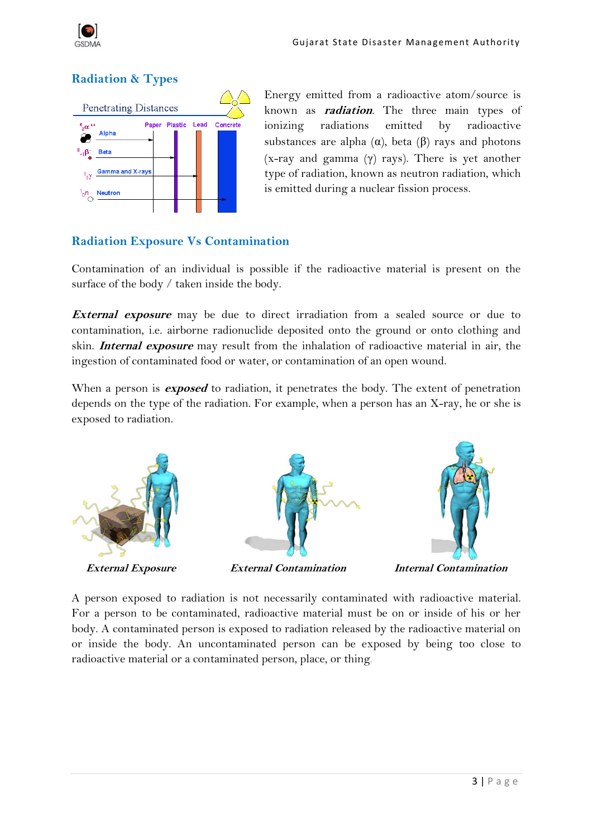

# **Radiation & Types**



Energy emitted from a radioactive atom/source is known as **radiation**. The three main types of ionizing radiations emitted by radioactive substances are alpha  $(\alpha)$ , beta  $(\beta)$  rays and photons  $(x-ray and gamma (γ) rays)$ . There is yet another type of radiation, known as neutron radiation, which is emitted during a nuclear fission process.

## **Radiation Exposure Vs Contamination**

Contamination of an individual is possible if the radioactive material is present on the surface of the body / taken inside the body.

**External exposure** may be due to direct irradiation from a sealed source or due to contamination, i.e. airborne radionuclide deposited onto the ground or onto clothing and skin. **Internal exposure** may result from the inhalation of radioactive material in air, the ingestion of contaminated food or water, or contamination of an open wound.

When a person is **exposed** to radiation, it penetrates the body. The extent of penetration depends on the type of the radiation. For example, when a person has an X-ray, he or she is exposed to radiation.



A person exposed to radiation is not necessarily contaminated with radioactive material. For a person to be contaminated, radioactive material must be on or inside of his or her body. A contaminated person is exposed to radiation released by the radioactive material on or inside the body. An uncontaminated person can be exposed by being too close to radioactive material or a contaminated person, place, or thing.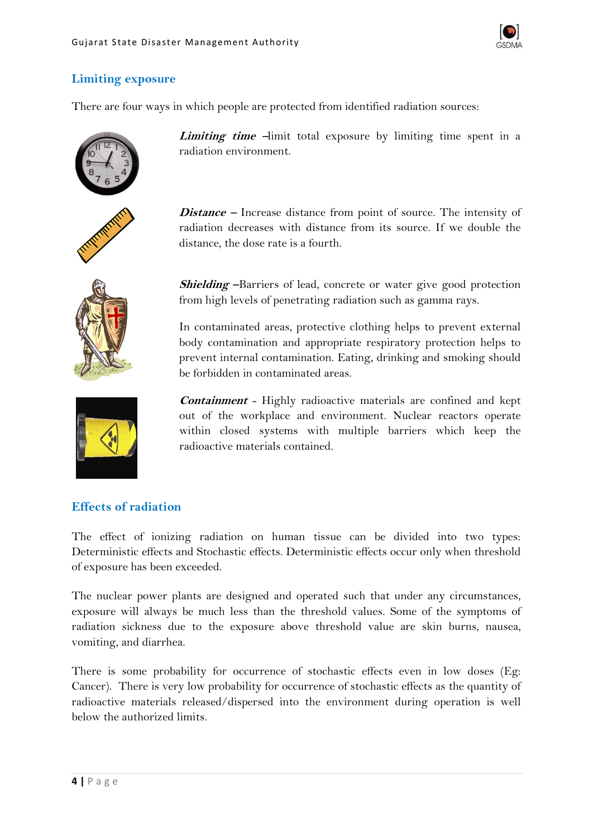

## **Limiting exposure**

There are four ways in which people are protected from identified radiation sources:









*Limiting time*  $-\text{limit total exposure by limiting time spent in a$ radiation environment.

**Distance –** Increase distance from point of source. The intensity of radiation decreases with distance from its source. If we double the distance, the dose rate is a fourth.

**Shielding –**Barriers of lead, concrete or water give good protection from high levels of penetrating radiation such as gamma rays.

In contaminated areas, protective clothing helps to prevent external body contamination and appropriate respiratory protection helps to prevent internal contamination. Eating, drinking and smoking should be forbidden in contaminated areas.

**Containment** - Highly radioactive materials are confined and kept out of the workplace and environment. Nuclear reactors operate within closed systems with multiple barriers which keep the radioactive materials contained.

#### **Effects of radiation**

The effect of ionizing radiation on human tissue can be divided into two types: Deterministic effects and Stochastic effects. Deterministic effects occur only when threshold of exposure has been exceeded.

The nuclear power plants are designed and operated such that under any circumstances, exposure will always be much less than the threshold values. Some of the symptoms of radiation sickness due to the exposure above threshold value are skin burns, nausea, vomiting, and diarrhea.

There is some probability for occurrence of stochastic effects even in low doses (Eg: Cancer). There is very low probability for occurrence of stochastic effects as the quantity of radioactive materials released/dispersed into the environment during operation is well below the authorized limits.